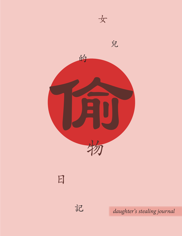

日

*daughter's stealing journal*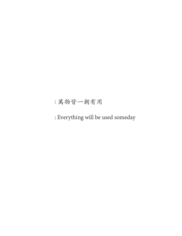: 萬物皆一朝有用

: Everything will be used someday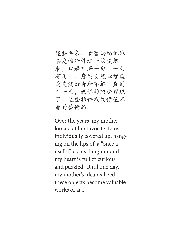#### 這些年來,看著媽媽把她 喜愛的物件逐一收藏起 來,口邊掛著一句「一朝 有用」,身為女兒心裡盡 是充滿好奇和不解。直到 有一天,媽媽的想法實現 了,這些物件成為價值不 菲的藝術品。

Over the years, my mother looked at her favorite items individually covered up, hanging on the lips of a "once a useful", as his daughter and my heart is full of curious and puzzled. Until one day, my mother's idea realized, these objects become valuable works of art.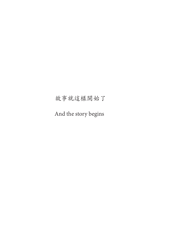#### 故事就這樣開始了

And the story begins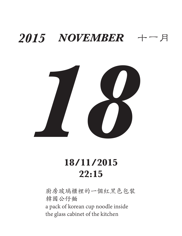

### **18/11/2015 22:15**

廚房玻璃櫃裡的一個紅黑色包裝 韓國公仔麵 a pack of korean cup noodle inside the glass cabinet of the kitchen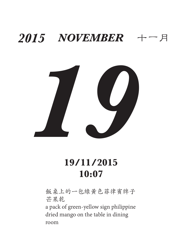

### **19/11/2015 10:07**

飯桌上的一包綠黃色菲律賓牌子 芒果乾 a pack of green-yellow sign philippine dried mango on the table in dining room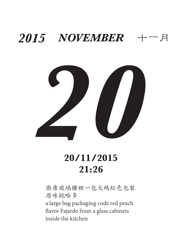

#### **20/11/2015 21:26**

廚房玻璃櫃裡一包大碼紅色包裝 原味桃哈多

a large bag packaging code red peach flavor Fajardo from a glass cabinets inside the kitchen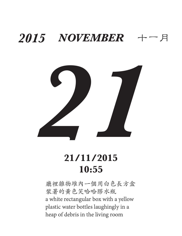

#### **21/11/2015 10:55**

廳裡雜物堆內一個用白色長方盒 裝著的黃色笑哈哈膠水瓶 a white rectangular box with a yellow plastic water bottles laughingly in a heap of debris in the living room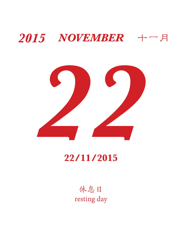

#### **22/11/2015**

休息日 resting day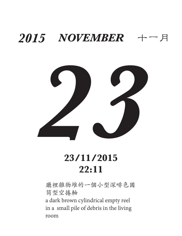

#### **23/11/2015 22:11**

廳裡雜物堆的一個小型深啡色圓 筒型空捲軸 a dark brown cylindrical empty reel in a small pile of debris in the living room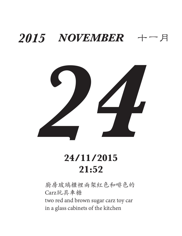

#### **24/11/2015 21:52**

廚房玻璃櫃裡兩架紅色和啡色的 Carz玩具車糖 two red and brown sugar carz toy car in a glass cabinets of the kitchen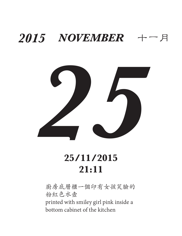

#### **25/11/2015 21:11**

廚房底層櫃一個印有女孩笑臉的 粉紅色水壼 printed with smiley girl pink inside a bottom cabinet of the kitchen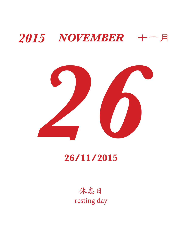

#### **26/11/2015**

休息日 resting day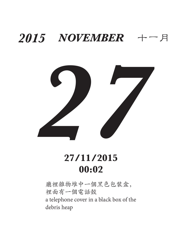

#### **27/11/2015 00:02**

廳裡雜物堆中一個黑色包裝盒, 裡面有一個電話殻 a telephone cover in a black box of the debris heap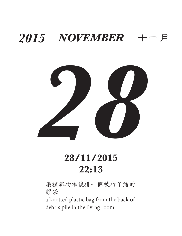

#### **28/11/2015 22:13**

廳裡雜物堆後排一個被打了結的 膠袋

a knotted plastic bag from the back of debris pile in the living room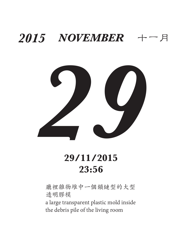

#### **29/11/2015 23:56**

廳裡雜物堆中一個鎖鏈型的大型 透明膠模

a large transparent plastic mold inside the debris pile of the living room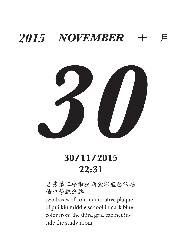

#### **30/11/2015 22:31**

書房第三格櫃裡兩盒深藍色的培 僑中學紀念牌

two boxes of commemorative plaque of pui kiu middle school in dark blue color from the third grid cabinet inside the study room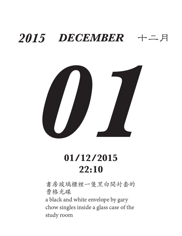

#### **01/12/2015 22:10**

書房玻璃櫃裡一隻黑白間封套的 曹格光碟 a black and white envelope by gary

chow singles inside a glass case of the study room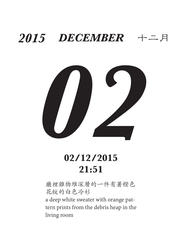

#### **02/12/2015 21:51**

廳裡雜物堆深層的一件有著橙色 花紋的白色冷衫

a deep white sweater with orange pattern prints from the debris heap in the living room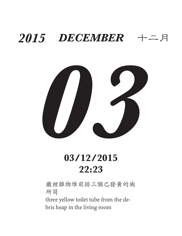

#### **03/12/2015 22:23**

廳裡雜物堆前排三個已發黃的廁 所筒 three yellow toilet tube from the de-

bris heap in the living room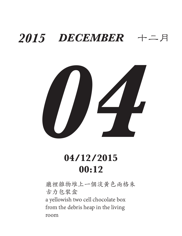

#### **04/12/2015 00:12**

廳裡雜物堆上一個淡黃色兩格朱 古力包裝盒 a yellowish two cell chocolate box from the debris heap in the living room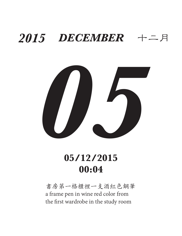

#### **05/12/2015 00:04**

書房第一格櫃裡一支酒紅色鋼筆 a frame pen in wine red color from the first wardrobe in the study room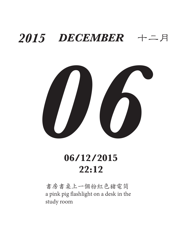

#### **06/12/2015 22:12**

書房書桌上一個粉紅色豬電筒 a pink pig flashlight on a desk in the study room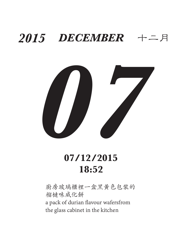

#### **07/12/2015 18:52**

廚房玻璃櫃裡一盒黑黃色包裝的 榴槤味威化餅 a pack of durian flavour wafersfrom the glass cabinet in the kitchen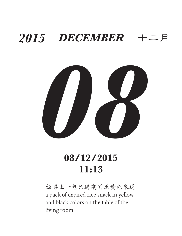

#### **08/12/2015 11:13**

飯桌上一包已過期的黑黃色米通 a pack of expired rice snack in yellow and black colors on the table of the living room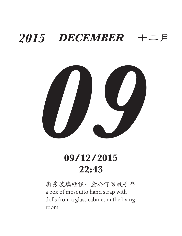

#### **09/12/2015 22:43**

廚房玻璃櫃裡一盒公仔防蚊手帶 a box of mosquito hand strap with dolls from a glass cabinet in the living room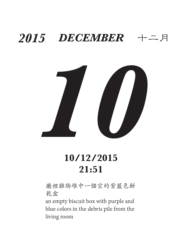

### **10/12/2015 21:51**

廳裡雜物堆中一個空的紫藍色餅 乾盒

an empty biscuit box with purple and blue colors in the debris pile from the living room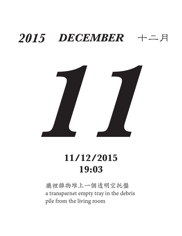

#### **11/12/2015 19:03**

廳裡雜物堆上一個透明空托盤 a transparnet empty tray in the debris pile from the living room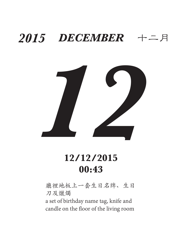

#### **12/12/2015 00:43**

廳裡地板上一套生日名牌、生日 刀及爉燭

a set of birthday name tag, knife and candle on the floor of the living room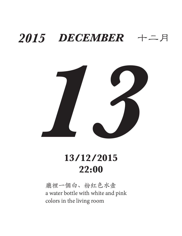

#### **13/12/2015 22:00**

廳裡一個白、粉紅色水壼 a water bottle with white and pink colors in the living room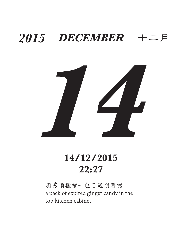

#### **14/12/2015 22:27**

廚房頂櫃裡一包已過期薑糖 a pack of expired ginger candy in the top kitchen cabinet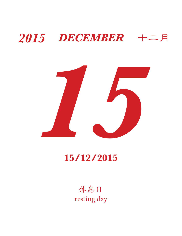

#### **15/12/2015**

休息日 resting day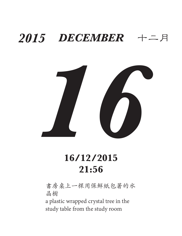

#### **16/12/2015 21:56**

書房桌上一棵用保鮮紙包著的水 晶樹

a plastic wrapped crystal tree in the study table from the study room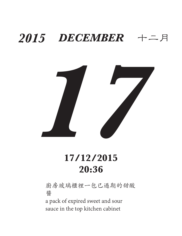

#### **17/12/2015 20:36**

廚房玻璃櫃裡一包已過期的甜酸 醬

a pack of expired sweet and sour sauce in the top kitchen cabinet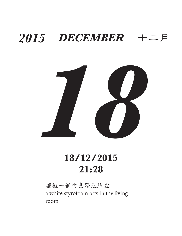

#### **18/12/2015 21:28**

廳裡一個白色發泡膠盒 a white styrofoam box in the living room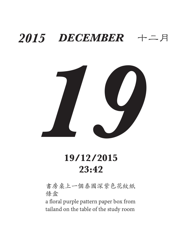

#### **19/12/2015 23:42**

書房桌上一個泰國深紫色花紋紙 條盒

a floral purple pattern paper box from tailand on the table of the study room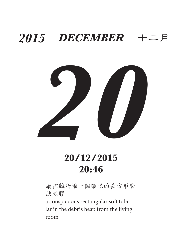

#### **20/12/2015 20:46**

廳裡雜物堆一個顯眼的長方形管 狀軟膠

a conspicuous rectangular soft tubular in the debris heap from the living room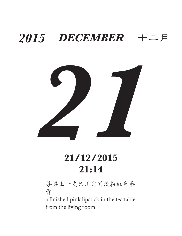

### **21/12/2015 21:14**

茶桌上一支已用完的淡粉紅色唇 膏

a finished pink lipstick in the tea table from the living room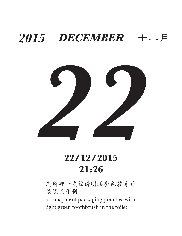

#### **22/12/2015 21:26**

廁所裡一支被透明膠套包裝著的 淡綠色牙刷

a transparent packaging pouches with light green toothbrush in the toilet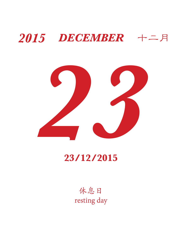

#### **23/12/2015**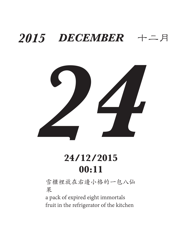

### **24/12/2015 00:11**

雪櫃裡放在右邊小格的一包八仙 果

a pack of expired eight immortals fruit in the refrigerator of the kitchen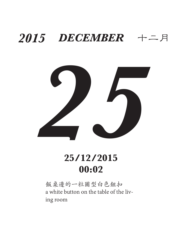

### **25/12/2015 00:02**

飯桌邊的一粒圖型白色鈕扣 a white button on the table of the living room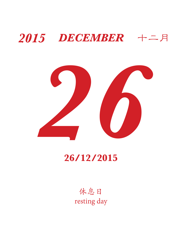

#### **26/12/2015**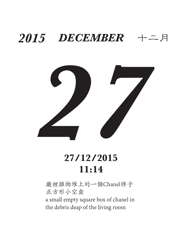

### **27/12/2015 11:14**

廳裡雜物堆上的一個Chanel牌子 正方形小空盒 a small empty square box of chanel in the debris deap of the living room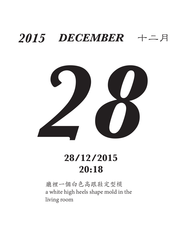

### **28/12/2015 20:18**

廳裡一個白色高跟鞋定型模 a white high heels shape mold in the living room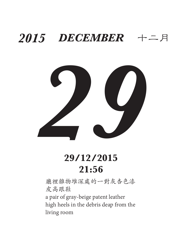

### **29/12/2015 21:56**

廳裡雜物堆深處的一對灰杏色漆 皮高跟鞋 a pair of gray-beige patent leather high heels in the debris deap from the living room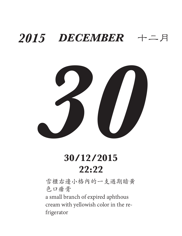

### **30/12/2015 22:22**

雪櫃右邊小格內的一支過期暗黃 色口瘡膏 a small branch of expired aphthous cream with yellowish color in the refrigerator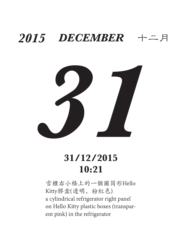

### **31/12/2015 10:21**

雪櫃右小格上的一個圖筒形Hello Kitty膠盒(透明,粉紅色) a cylindrical refrigerator right panel on Hello Kitty plastic boxes (transparent pink) in the refrigerator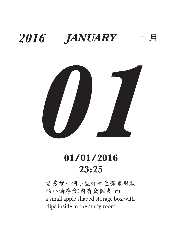

### **01/01/2016 23:25**

書房裡一個小型鮮紅色蘋果形狀 的小儲存盒(內有幾個夾子) a small apple shaped storage box with clips inside in the study room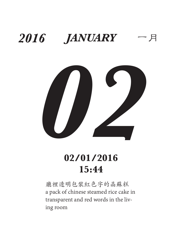

### **02/01/2016 15:44**

廳裡透明包裝紅色字的晶蘇糕 a pack of chinese steamed rice cake in transparent and red words in the living room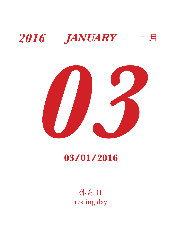



#### **03/01/2016**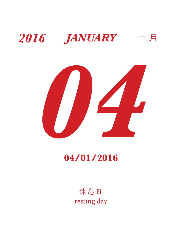



#### **04/01/2016**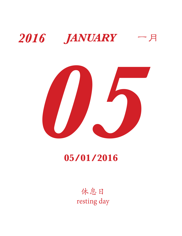



#### **05/01/2016**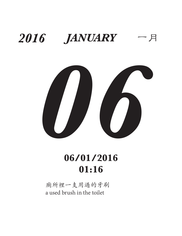

#### **06/01/2016 01:16**

廁所裡一支用過的牙刷 a used brush in the toilet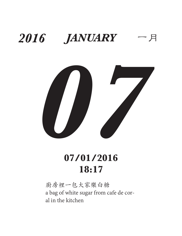

### **07/01/2016 18:17**

廚房裡一包大家樂白糖 a bag of white sugar from cafe de coral in the kitchen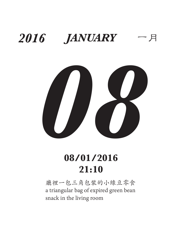

### **08/01/2016 21:10**

廳裡一包三角包裝的小綠豆零食 a triangular bag of expired green bean snack in the living room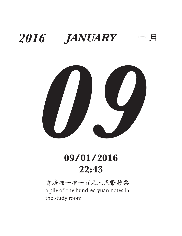

### **09/01/2016 22:43**

書房裡一堆一百元人民幣抄票 a pile of one hundred yuan notes in the study room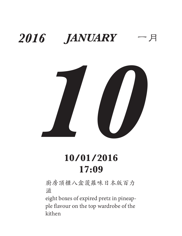

### **10/01/2016 17:09**

廚房頂櫃八盒菠蘿味日本版百力 滋

eight boxes of expired pretz in pineapple flavour on the top wardrobe of the kithen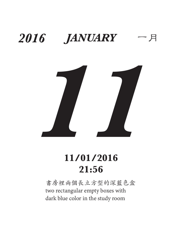

### **11/01/2016 21:56**

書房裡兩個長立方型的深藍色盒 two rectangular empty boxes with dark blue color in the study room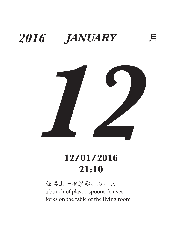

### **12/01/2016 21:10**

飯桌上一堆膠匙、刀、叉 a bunch of plastic spoons, knives, forks on the table of the living room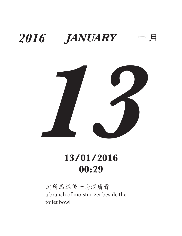

### **13/01/2016 00:29**

廁所馬桶後一套潤膚膏 a branch of moisturizer beside the toilet bowl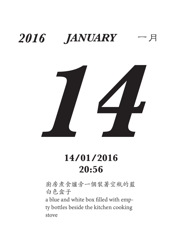

#### **14/01/2016 20:56**

廚房煮食爐旁一個裝著空瓶的藍 白色盒子

a blue and white box filled with empty bottles beside the kitchen cooking stove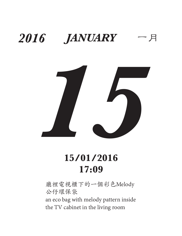

### **15/01/2016 17:09**

廳裡電視櫃下的一個彩色Melody 公仔環保袋

an eco bag with melody pattern inside the TV cabinet in the living room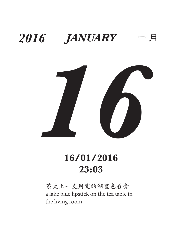

### **16/01/2016 23:03**

茶桌上一支用完的湖藍色唇膏 a lake blue lipstick on the tea table in the living room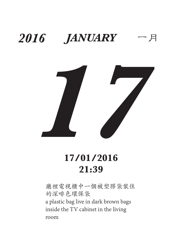

#### **17/01/2016 21:39**

廳裡電視櫃中一個被塑膠袋裝住 的深啡色環保袋 a plastic bag live in dark brown bags inside the TV cabinet in the living room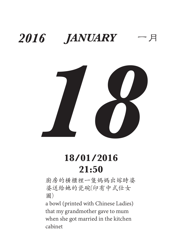

### **18/01/2016 21:50**

廚房的橫櫃裡一隻媽媽出嫁時婆 婆送給她的瓷碗(印有中式仕女 圖)

a bowl (printed with Chinese Ladies) that my grandmother gave to mum when she got married in the kitchen cabinet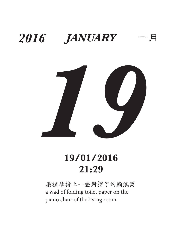

### **19/01/2016 21:29**

廳裡琴椅上一疊對摺了的廁紙筒 a wad of folding toilet paper on the piano chair of the living room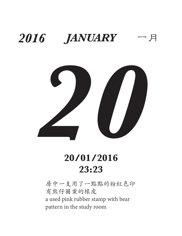

#### **20/01/2016 23:23**

房中一支用了一點點的粉紅色印 有熊仔圖案的橡皮 a used pink rubber stamp with bear pattern in the study room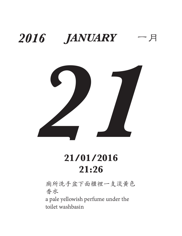

### **21/01/2016 21:26**

廁所洗手盆下面櫃裡一支淡黃色 香水

a pale yellowish perfume under the toilet washbasin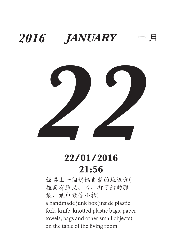

#### **22/01/2016 21:56**

飯桌上一個媽媽自製的垃圾盒( 裡面有膠叉、刀、打了結的膠 袋、紙巾袋等小物) a handmade junk box(inside plastic fork, knife, knotted plastic bags, paper towels, bags and other small objects) on the table of the living room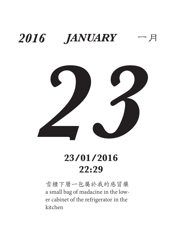

#### **23/01/2016 22:29**

雪櫃下層一包屬於我的感冒藥 a small bag of madacine in the lower cabinet of the refrigerator in the kitchen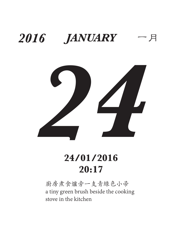

### **24/01/2016 20:17**

廚房煮食爐旁一支青綠色小帚 a tiny green brush beside the cooking stove in the kitchen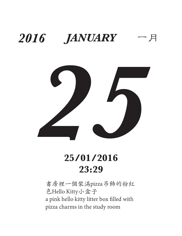

#### **25/01/2016 23:29**

書房裡一個裝滿pizza吊飾的粉紅 色Hello Kitty小盒子 a pink hello kitty litter box filled with pizza charms in the study room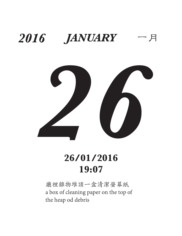

#### **26/01/2016 19:07**

廳裡雜物堆頂一盒清潔螢幕紙 a box of cleaning paper on the top of the heap od debris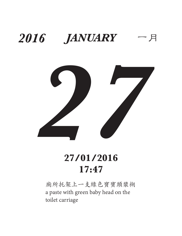

#### **27/01/2016 17:47**

廁所托架上一支綠色寶寶頭漿糊 a paste with green baby head on the toilet carriage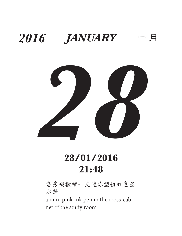

#### **28/01/2016 21:48**

書房橫櫃裡一支迷你型粉紅色墨 水筆

a mini pink ink pen in the cross-cabinet of the study room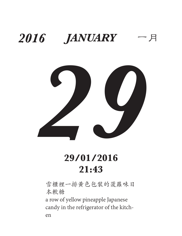

#### **29/01/2016 21:43**

雪櫃裡一排黃色包裝的菠蘿味日 本軟糖

a row of yellow pineapple Japanese candy in the refrigerator of the kitchen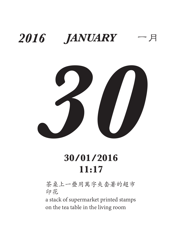

#### **30/01/2016 11:17**

茶桌上一疊用萬字夾套著的超市 印花

a stack of supermarket printed stamps on the tea table in the living room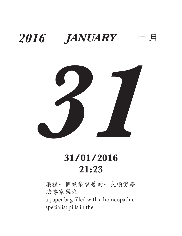

#### **31/01/2016 21:23**

廳裡一個紙袋裝著的一支順勢療 法專家藥丸

a paper bag filled with a homeopathic specialist pills in the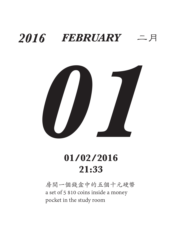

#### **01/02/2016 21:33**

房間一個錢盒中的五個十元硬幣 a set of 5 \$10 coins inside a money pocket in the study room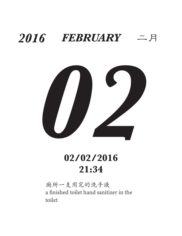

#### **02/02/2016 21:34**

廁所一支用完的洗手液 a finished toilet hand sanitizer in the toilet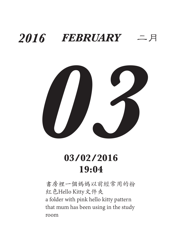

#### **03/02/2016 19:04**

書房裡一個媽媽以前經常用的粉 紅色Hello Kitty文件夾 a folder with pink hello kitty pattern that mum has been using in the study room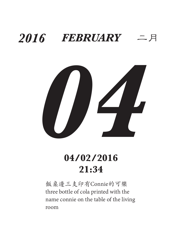

#### **04/02/2016 21:34**

飯桌邊三支印有Connie的可樂 three bottle of cola printed with the name connie on the table of the living room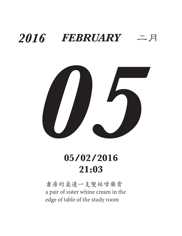

#### **05/02/2016 21:03**

書房的桌邊一支雙妹嗲藥膏 a pair of sister whine cream in the edge of table of the study room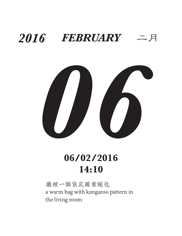

#### **06/02/2016 14:10**

廳裡一個袋鼠圖案暖包 a warm bag with kangaroo pattern in the living room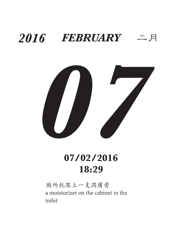

#### **07/02/2016 18:29**

廁所托架上一支潤膚膏 a moisturizer on the cabinet in the toilet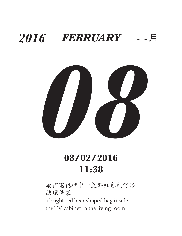

#### **08/02/2016 11:38**

廳裡電視櫃中一隻鮮紅色熊仔形 狀環保袋 a bright red bear shaped bag inside the TV cabinet in the living room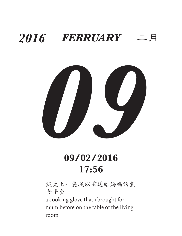

#### **09/02/2016 17:56**

飯桌上一隻我以前送給媽媽的煮 食手套

a cooking glove that i brought for mum before on the table of the living room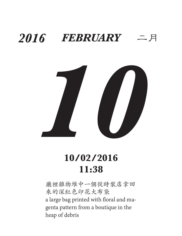

#### **10/02/2016 11:38**

廳裡雜物堆中一個從時裝店拿回 來的深紅色印花大布袋 a large bag printed with floral and magenta pattern from a boutique in the heap of debris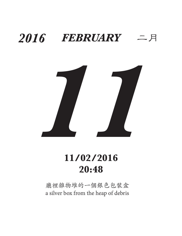

#### **11/02/2016 20:48**

廳裡雜物堆的一個銀色包裝盒 a silver box from the heap of debris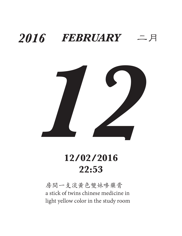

#### **12/02/2016 22:53**

房間一支淡黃色雙妹嘜藥膏 a stick of twins chinese medicine in light yellow color in the study room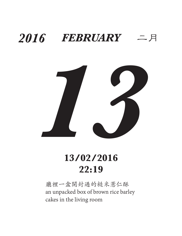

#### **13/02/2016 22:19**

廳裡一盒開封過的糙米薏仁酥 an unpacked box of brown rice barley cakes in the living room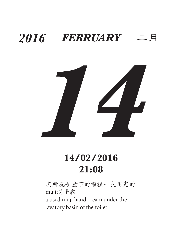

#### **14/02/2016 21:08**

廁所洗手盆下的櫃裡一支用完的 muji潤手霜 a used muji hand cream under the lavatory basin of the toilet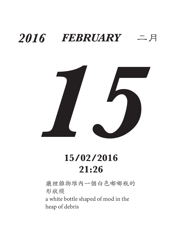

#### **15/02/2016 21:26**

廳裡雜物堆內一個白色嘟嘟瓶的 形狀模 a white bottle shaped of mod in the heap of debris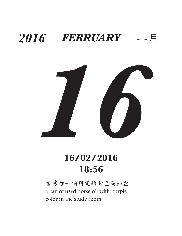

#### **16/02/2016 18:56**

書房裡一個用完的紫色馬油盒 a can of used horse oil with purple color in the study room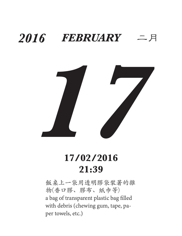

#### **17/02/2016 21:39**

飯桌上一袋用透明膠袋裝著的雜 物(香口膠、膠布、紙巾等) a bag of transparent plastic bag filled with debris (chewing gum, tape, paper towels, etc.)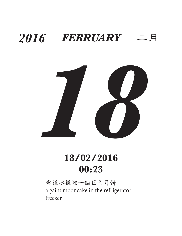

#### **18/02/2016 00:23**

雪櫃冰櫃裡一個巨型月餅 a gaint mooncake in the refrigerator freezer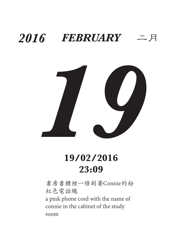

#### **19/02/2016 23:09**

書房書櫃裡一條刻著Connie的粉 紅色電話繩 a pink phone cord with the name of connie in the cabinet of the study room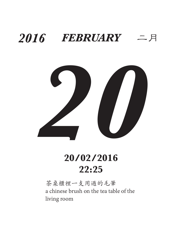

#### **20/02/2016 22:25**

茶桌櫃裡一支用過的毛筆 a chinese brush on the tea table of the living room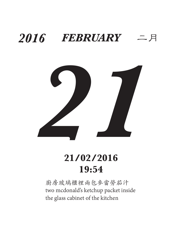

#### **21/02/2016 19:54**

廚房玻璃櫃裡兩包麥當勞茄汁 two mcdonald's ketchup packet inside the glass cabinet of the kitchen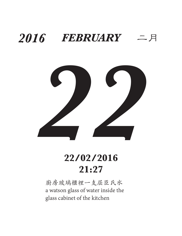

#### **22/02/2016 21:27**

廚房玻璃櫃裡一支屈臣氏水 a watson glass of water inside the glass cabinet of the kitchen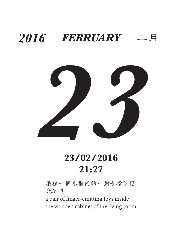

#### **23/02/2016 21:27**

廳裡一個木櫃內的一對手指頭發 光玩具

a pair of finger-emitting toys inside the wooden cabinet of the living room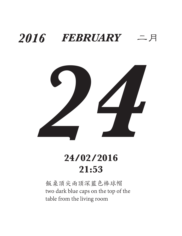

#### **24/02/2016 21:53**

飯桌頂尖兩頂深藍色棒球帽 two dark blue caps on the top of the table from the living room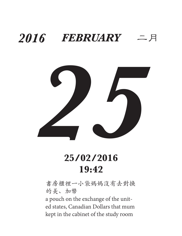

#### **25/02/2016 19:42**

書房櫃裡一小袋媽媽沒有去對換 的美、加幣

a pouch on the exchange of the united states, Canadian Dollars that mum kept in the cabinet of the study room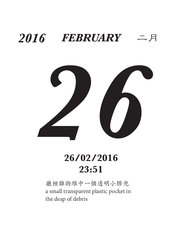

#### **26/02/2016 23:51**

廳裡雜物堆中一個透明小膠兜 a small transparent plastic pocket in the deap of debris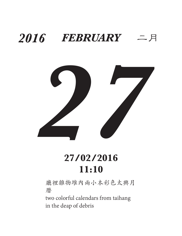

#### **27/02/2016 11:10**

廳裡雜物堆內兩小本彩色太興月 曆

two colorful calendars from taihang in the deap of debris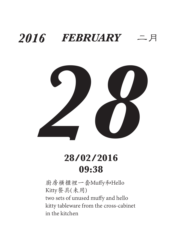

#### **28/02/2016 09:38**

廚房橫櫃裡一套Muffy和Hello Kitty餐具(未用) two sets of unused muffy and hello kitty tableware from the cross-cabinet in the kitchen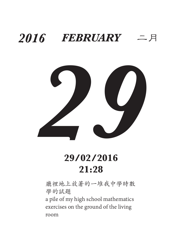

#### **29/02/2016 21:28**

廳裡地上放著的一堆我中學時數 學的試題

a pile of my high school mathematics exercises on the ground of the living room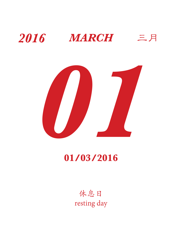



#### **01/03/2016**

休息日 resting day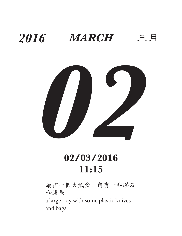

### **02/03/2016 11:15**

廳裡一個大紙盒,內有一些膠刀 和膠袋

a large tray with some plastic knives and bags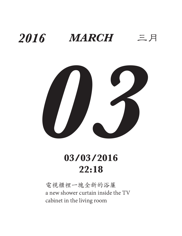

### **03/03/2016 22:18**

電視櫃裡一塊全新的浴簾 a new shower curtain inside the TV cabinet in the living room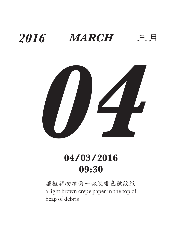

### **04/03/2016 09:30**

廳裡雜物堆面一塊淺啡色皺紋紙 a light brown crepe paper in the top of heap of debris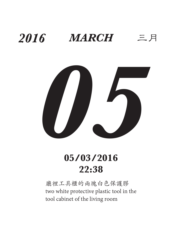

### **05/03/2016 22:38**

廳裡工具櫃的兩塊白色保護膠 two white protective plastic tool in the tool cabinet of the living room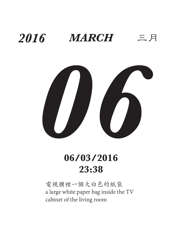

#### **06/03/2016 23:38**

電視櫃裡一個大白色的紙袋 a large white paper bag inside the TV cabinet of the living room